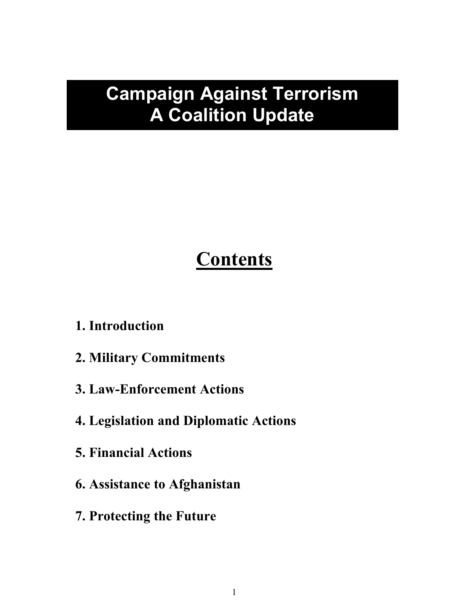# **Campaign Against Terrorism A Coalition Update**

# **Contents**

## **1. Introduction**

- **2. Military Commitments**
- **3. Law-Enforcement Actions**
- **4. Legislation and Diplomatic Actions**
- **5. Financial Actions**
- **6. Assistance to Afghanistan**
- **7. Protecting the Future**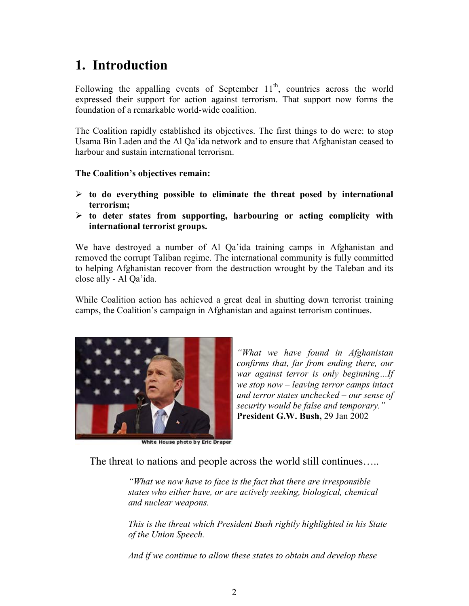# **1. Introduction**

Following the appalling events of September  $11<sup>th</sup>$ , countries across the world expressed their support for action against terrorism. That support now forms the foundation of a remarkable world-wide coalition.

The Coalition rapidly established its objectives. The first things to do were: to stop Usama Bin Laden and the Al Qa'ida network and to ensure that Afghanistan ceased to harbour and sustain international terrorism.

#### **The Coalition's objectives remain:**

- **to do everything possible to eliminate the threat posed by international terrorism;**
- **to deter states from supporting, harbouring or acting complicity with international terrorist groups.**

We have destroyed a number of Al Qa'ida training camps in Afghanistan and removed the corrupt Taliban regime. The international community is fully committed to helping Afghanistan recover from the destruction wrought by the Taleban and its close ally - Al Qa'ida.

While Coalition action has achieved a great deal in shutting down terrorist training camps, the Coalition's campaign in Afghanistan and against terrorism continues.



*and terror states unchecked – our sense of security would be false and temporary."* **President G.W. Bush,** 29 Jan 2002

*"What we have found in Afghanistan confirms that, far from ending there, our war against terror is only beginning…If we stop now – leaving terror camps intact*

White House photo by Eric Draper

The threat to nations and people across the world still continues…..

*"What we now have to face is the fact that there are irresponsible states who either have, or are actively seeking, biological, chemical and nuclear weapons.*

*This is the threat which President Bush rightly highlighted in his State of the Union Speech.*

*And if we continue to allow these states to obtain and develop these*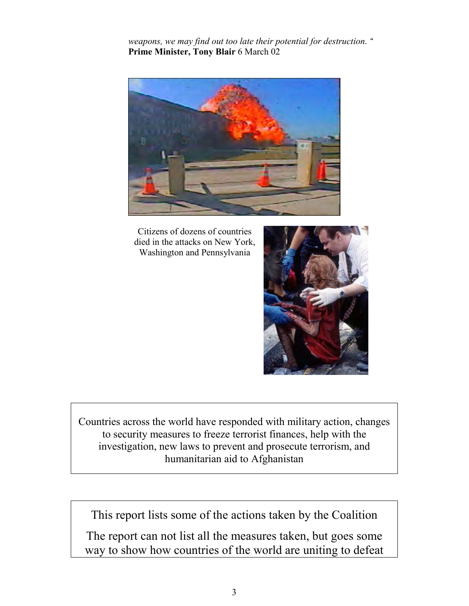*weapons, we may find out too late their potential for destruction. "* **Prime Minister, Tony Blair** 6 March 02



Citizens of dozens of countries died in the attacks on New York, Washington and Pennsylvania



Countries across the world have responded with military action, changes to security measures to freeze terrorist finances, help with the investigation, new laws to prevent and prosecute terrorism, and humanitarian aid to Afghanistan

This report lists some of the actions taken by the Coalition

The report can not list all the measures taken, but goes some way to show how countries of the world are uniting to defeat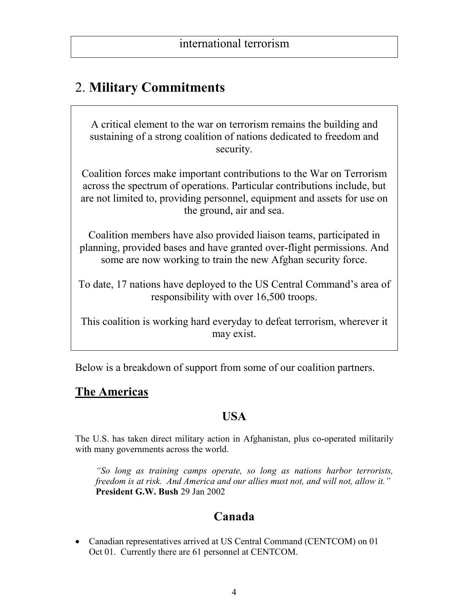## 2. **Military Commitments**

A critical element to the war on terrorism remains the building and sustaining of a strong coalition of nations dedicated to freedom and security.

Coalition forces make important contributions to the War on Terrorism across the spectrum of operations. Particular contributions include, but are not limited to, providing personnel, equipment and assets for use on the ground, air and sea.

Coalition members have also provided liaison teams, participated in planning, provided bases and have granted over-flight permissions. And some are now working to train the new Afghan security force.

To date, 17 nations have deployed to the US Central Command's area of responsibility with over 16,500 troops.

This coalition is working hard everyday to defeat terrorism, wherever it may exist.

Below is a breakdown of support from some of our coalition partners.

#### **The Americas**

#### **USA**

The U.S. has taken direct military action in Afghanistan, plus co-operated militarily with many governments across the world.

*"So long as training camps operate, so long as nations harbor terrorists, freedom is at risk. And America and our allies must not, and will not, allow it."* **President G.W. Bush** 29 Jan 2002

## **Canada**

• Canadian representatives arrived at US Central Command (CENTCOM) on 01 Oct 01. Currently there are 61 personnel at CENTCOM.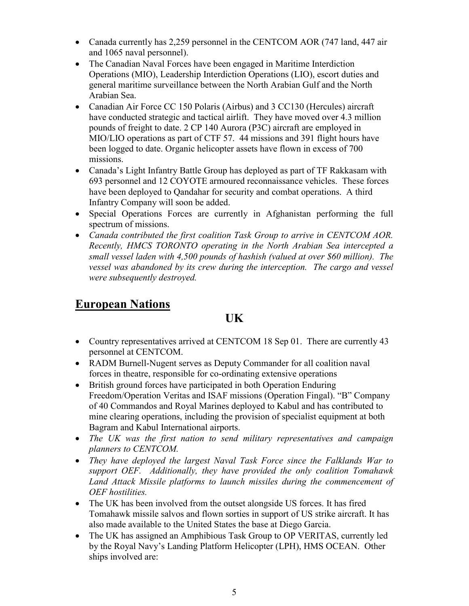- Canada currently has 2,259 personnel in the CENTCOM AOR (747 land, 447 air and 1065 naval personnel).
- The Canadian Naval Forces have been engaged in Maritime Interdiction Operations (MIO), Leadership Interdiction Operations (LIO), escort duties and general maritime surveillance between the North Arabian Gulf and the North Arabian Sea.
- Canadian Air Force CC 150 Polaris (Airbus) and 3 CC130 (Hercules) aircraft have conducted strategic and tactical airlift. They have moved over 4.3 million pounds of freight to date. 2 CP 140 Aurora (P3C) aircraft are employed in MIO/LIO operations as part of CTF 57. 44 missions and 391 flight hours have been logged to date. Organic helicopter assets have flown in excess of 700 missions.
- Canada's Light Infantry Battle Group has deployed as part of TF Rakkasam with 693 personnel and 12 COYOTE armoured reconnaissance vehicles. These forces have been deployed to Qandahar for security and combat operations. A third Infantry Company will soon be added.
- Special Operations Forces are currently in Afghanistan performing the full spectrum of missions.
- *Canada contributed the first coalition Task Group to arrive in CENTCOM AOR. Recently, HMCS TORONTO operating in the North Arabian Sea intercepted a small vessel laden with 4,500 pounds of hashish (valued at over \$60 million). The vessel was abandoned by its crew during the interception. The cargo and vessel were subsequently destroyed.*

#### **European Nations**

**UK**

- Country representatives arrived at CENTCOM 18 Sep 01. There are currently 43 personnel at CENTCOM.
- RADM Burnell-Nugent serves as Deputy Commander for all coalition naval forces in theatre, responsible for co-ordinating extensive operations
- British ground forces have participated in both Operation Enduring Freedom/Operation Veritas and ISAF missions (Operation Fingal). "B" Company of 40 Commandos and Royal Marines deployed to Kabul and has contributed to mine clearing operations, including the provision of specialist equipment at both Bagram and Kabul International airports.
- *The UK was the first nation to send military representatives and campaign planners to CENTCOM.*
- *They have deployed the largest Naval Task Force since the Falklands War to support OEF. Additionally, they have provided the only coalition Tomahawk Land Attack Missile platforms to launch missiles during the commencement of OEF hostilities.*
- The UK has been involved from the outset alongside US forces. It has fired Tomahawk missile salvos and flown sorties in support of US strike aircraft. It has also made available to the United States the base at Diego Garcia.
- The UK has assigned an Amphibious Task Group to OP VERITAS, currently led by the Royal Navy's Landing Platform Helicopter (LPH), HMS OCEAN. Other ships involved are: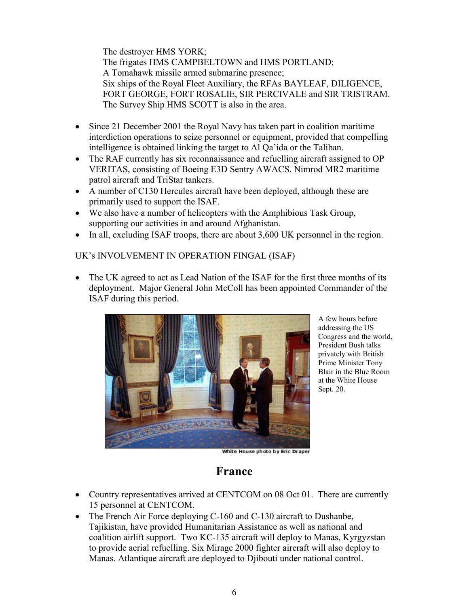The destroyer HMS YORK; The frigates HMS CAMPBELTOWN and HMS PORTLAND; A Tomahawk missile armed submarine presence; Six ships of the Royal Fleet Auxiliary, the RFAs BAYLEAF, DILIGENCE, FORT GEORGE, FORT ROSALIE, SIR PERCIVALE and SIR TRISTRAM. The Survey Ship HMS SCOTT is also in the area.

- Since 21 December 2001 the Royal Navy has taken part in coalition maritime interdiction operations to seize personnel or equipment, provided that compelling intelligence is obtained linking the target to Al Qa'ida or the Taliban.
- The RAF currently has six reconnaissance and refuelling aircraft assigned to OP VERITAS, consisting of Boeing E3D Sentry AWACS, Nimrod MR2 maritime patrol aircraft and TriStar tankers.
- A number of C130 Hercules aircraft have been deployed, although these are primarily used to support the ISAF.
- We also have a number of helicopters with the Amphibious Task Group, supporting our activities in and around Afghanistan.
- $\bullet$  In all, excluding ISAF troops, there are about 3,600 UK personnel in the region.

#### UK's INVOLVEMENT IN OPERATION FINGAL (ISAF)

 The UK agreed to act as Lead Nation of the ISAF for the first three months of its deployment. Major General John McColl has been appointed Commander of the ISAF during this period.



A few hours before addressing the US Congress and the world, President Bush talks privately with British Prime Minister Tony Blair in the Blue Room at the White House Sept. 20.

White House photo by Eric Draper

#### **France**

- Country representatives arrived at CENTCOM on 08 Oct 01. There are currently 15 personnel at CENTCOM.
- The French Air Force deploying C-160 and C-130 aircraft to Dushanbe, Tajikistan, have provided Humanitarian Assistance as well as national and coalition airlift support. Two KC-135 aircraft will deploy to Manas, Kyrgyzstan to provide aerial refuelling. Six Mirage 2000 fighter aircraft will also deploy to Manas. Atlantique aircraft are deployed to Djibouti under national control.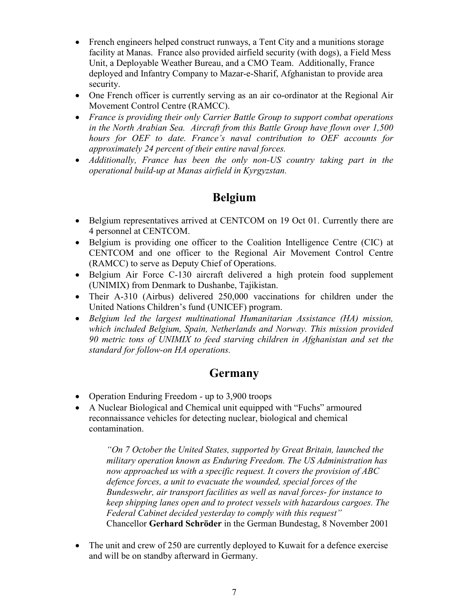- French engineers helped construct runways, a Tent City and a munitions storage facility at Manas. France also provided airfield security (with dogs), a Field Mess Unit, a Deployable Weather Bureau, and a CMO Team. Additionally, France deployed and Infantry Company to Mazar-e-Sharif, Afghanistan to provide area security.
- One French officer is currently serving as an air co-ordinator at the Regional Air Movement Control Centre (RAMCC).
- *France is providing their only Carrier Battle Group to support combat operations in the North Arabian Sea. Aircraft from this Battle Group have flown over 1,500 hours for OEF to date. France's naval contribution to OEF accounts for approximately 24 percent of their entire naval forces.*
- *Additionally, France has been the only non-US country taking part in the operational build-up at Manas airfield in Kyrgyzstan.*

#### **Belgium**

- Belgium representatives arrived at CENTCOM on 19 Oct 01. Currently there are 4 personnel at CENTCOM.
- Belgium is providing one officer to the Coalition Intelligence Centre (CIC) at CENTCOM and one officer to the Regional Air Movement Control Centre (RAMCC) to serve as Deputy Chief of Operations.
- Belgium Air Force C-130 aircraft delivered a high protein food supplement (UNIMIX) from Denmark to Dushanbe, Tajikistan.
- Their A-310 (Airbus) delivered 250,000 vaccinations for children under the United Nations Children's fund (UNICEF) program.
- *Belgium led the largest multinational Humanitarian Assistance (HA) mission, which included Belgium, Spain, Netherlands and Norway. This mission provided 90 metric tons of UNIMIX to feed starving children in Afghanistan and set the standard for follow-on HA operations.*

#### **Germany**

- Operation Enduring Freedom up to 3,900 troops
- A Nuclear Biological and Chemical unit equipped with "Fuchs" armoured reconnaissance vehicles for detecting nuclear, biological and chemical contamination.

*"On 7 October the United States, supported by Great Britain, launched the military operation known as Enduring Freedom. The US Administration has now approached us with a specific request. It covers the provision of ABC defence forces, a unit to evacuate the wounded, special forces of the Bundeswehr, air transport facilities as well as naval forces*- *for instance to keep shipping lanes open and to protect vessels with hazardous cargoes. The Federal Cabinet decided yesterday to comply with this request"* Chancellor **Gerhard Schröder** in the German Bundestag, 8 November 2001

• The unit and crew of 250 are currently deployed to Kuwait for a defence exercise and will be on standby afterward in Germany.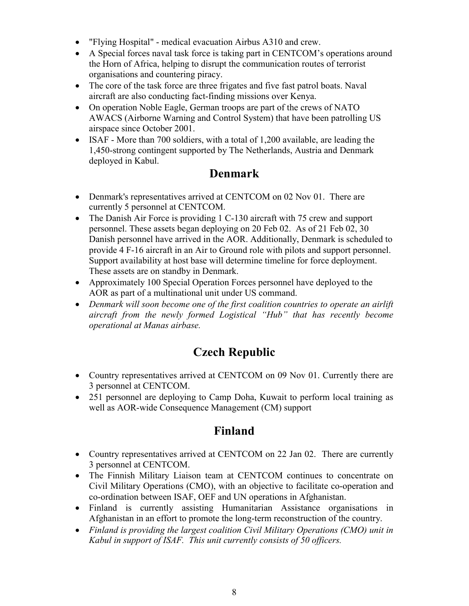- "Flying Hospital" medical evacuation Airbus A310 and crew.
- A Special forces naval task force is taking part in CENTCOM's operations around the Horn of Africa, helping to disrupt the communication routes of terrorist organisations and countering piracy.
- The core of the task force are three frigates and five fast patrol boats. Naval aircraft are also conducting fact-finding missions over Kenya.
- On operation Noble Eagle, German troops are part of the crews of NATO AWACS (Airborne Warning and Control System) that have been patrolling US airspace since October 2001.
- ISAF More than 700 soldiers, with a total of 1,200 available, are leading the 1,450-strong contingent supported by The Netherlands, Austria and Denmark deployed in Kabul.

#### **Denmark**

- Denmark's representatives arrived at CENTCOM on 02 Nov 01. There are currently 5 personnel at CENTCOM.
- The Danish Air Force is providing 1 C-130 aircraft with 75 crew and support personnel. These assets began deploying on 20 Feb 02. As of 21 Feb 02, 30 Danish personnel have arrived in the AOR. Additionally, Denmark is scheduled to provide 4 F-16 aircraft in an Air to Ground role with pilots and support personnel. Support availability at host base will determine timeline for force deployment. These assets are on standby in Denmark.
- Approximately 100 Special Operation Forces personnel have deployed to the AOR as part of a multinational unit under US command.
- Denmark will soon become one of the first coalition countries to operate an airlift *aircraft from the newly formed Logistical "Hub" that has recently become operational at Manas airbase.*

## **Czech Republic**

- Country representatives arrived at CENTCOM on 09 Nov 01. Currently there are 3 personnel at CENTCOM.
- 251 personnel are deploying to Camp Doha, Kuwait to perform local training as well as AOR-wide Consequence Management (CM) support

#### **Finland**

- Country representatives arrived at CENTCOM on 22 Jan 02. There are currently 3 personnel at CENTCOM.
- The Finnish Military Liaison team at CENTCOM continues to concentrate on Civil Military Operations (CMO), with an objective to facilitate co-operation and co-ordination between ISAF, OEF and UN operations in Afghanistan.
- Finland is currently assisting Humanitarian Assistance organisations in Afghanistan in an effort to promote the long-term reconstruction of the country.
- *Finland is providing the largest coalition Civil Military Operations (CMO) unit in Kabul in support of ISAF. This unit currently consists of 50 officers.*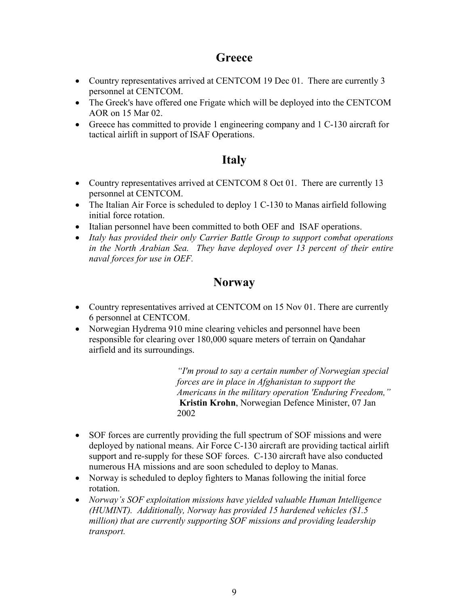#### **Greece**

- Country representatives arrived at CENTCOM 19 Dec 01. There are currently 3 personnel at CENTCOM.
- The Greek's have offered one Frigate which will be deployed into the CENTCOM AOR on 15 Mar 02.
- Greece has committed to provide 1 engineering company and 1 C-130 aircraft for tactical airlift in support of ISAF Operations.

#### **Italy**

- Country representatives arrived at CENTCOM 8 Oct 01. There are currently 13 personnel at CENTCOM.
- The Italian Air Force is scheduled to deploy 1 C-130 to Manas airfield following initial force rotation.
- Italian personnel have been committed to both OEF and ISAF operations.
- *Italy has provided their only Carrier Battle Group to support combat operations in the North Arabian Sea. They have deployed over 13 percent of their entire naval forces for use in OEF.*

#### **Norway**

- Country representatives arrived at CENTCOM on 15 Nov 01. There are currently 6 personnel at CENTCOM.
- Norwegian Hydrema 910 mine clearing vehicles and personnel have been responsible for clearing over 180,000 square meters of terrain on Qandahar airfield and its surroundings.

*"I'm proud to say a certain number of Norwegian special forces are in place in Afghanistan to support the Americans in the military operation 'Enduring Freedom,"* **Kristin Krohn**, Norwegian Defence Minister, 07 Jan 2002

- SOF forces are currently providing the full spectrum of SOF missions and were deployed by national means. Air Force C-130 aircraft are providing tactical airlift support and re-supply for these SOF forces. C-130 aircraft have also conducted numerous HA missions and are soon scheduled to deploy to Manas.
- Norway is scheduled to deploy fighters to Manas following the initial force rotation.
- *Norway's SOF exploitation missions have yielded valuable Human Intelligence (HUMINT). Additionally, Norway has provided 15 hardened vehicles (\$1.5 million) that are currently supporting SOF missions and providing leadership transport.*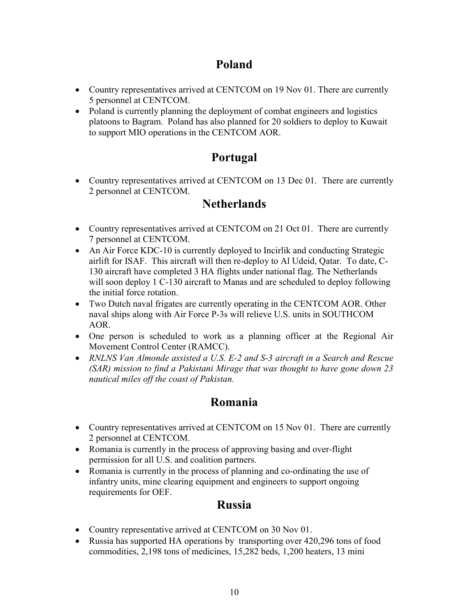#### **Poland**

- Country representatives arrived at CENTCOM on 19 Nov 01. There are currently 5 personnel at CENTCOM.
- Poland is currently planning the deployment of combat engineers and logistics platoons to Bagram. Poland has also planned for 20 soldiers to deploy to Kuwait to support MIO operations in the CENTCOM AOR.

#### **Portugal**

• Country representatives arrived at CENTCOM on 13 Dec 01. There are currently 2 personnel at CENTCOM.

#### **Netherlands**

- Country representatives arrived at CENTCOM on 21 Oct 01. There are currently 7 personnel at CENTCOM.
- An Air Force KDC-10 is currently deployed to Incirlik and conducting Strategic airlift for ISAF. This aircraft will then re-deploy to Al Udeid, Qatar. To date, C-130 aircraft have completed 3 HA flights under national flag. The Netherlands will soon deploy 1 C-130 aircraft to Manas and are scheduled to deploy following the initial force rotation.
- Two Dutch naval frigates are currently operating in the CENTCOM AOR. Other naval ships along with Air Force P-3s will relieve U.S. units in SOUTHCOM AOR.
- One person is scheduled to work as a planning officer at the Regional Air Movement Control Center (RAMCC).
- *RNLNS Van Almonde assisted a U.S. E-2 and S-3 aircraft in a Search and Rescue (SAR) mission to find a Pakistani Mirage that was thought to have gone down 23 nautical miles off the coast of Pakistan.*

#### **Romania**

- Country representatives arrived at CENTCOM on 15 Nov 01. There are currently 2 personnel at CENTCOM.
- Romania is currently in the process of approving basing and over-flight permission for all U.S. and coalition partners.
- Romania is currently in the process of planning and co-ordinating the use of infantry units, mine clearing equipment and engineers to support ongoing requirements for OEF.

#### **Russia**

- Country representative arrived at CENTCOM on 30 Nov 01.
- Russia has supported HA operations by transporting over 420,296 tons of food commodities, 2,198 tons of medicines, 15,282 beds, 1,200 heaters, 13 mini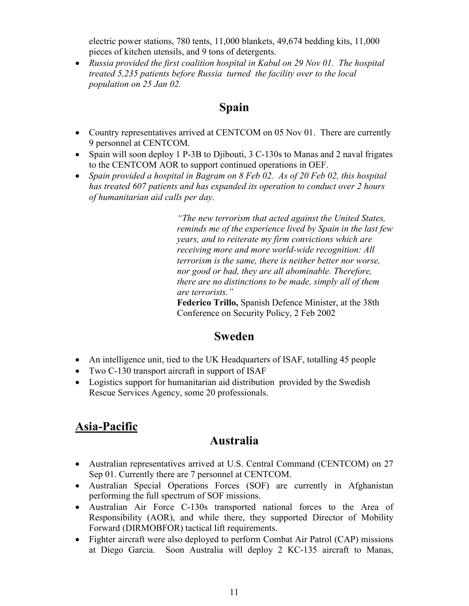electric power stations, 780 tents, 11,000 blankets, 49,674 bedding kits, 11,000 pieces of kitchen utensils, and 9 tons of detergents.

 *Russia provided the first coalition hospital in Kabul on 29 Nov 01. The hospital treated 5,235 patients before Russia turned the facility over to the local population on 25 Jan 02.*

#### **Spain**

- Country representatives arrived at CENTCOM on 05 Nov 01. There are currently 9 personnel at CENTCOM.
- Spain will soon deploy 1 P-3B to Djibouti, 3 C-130s to Manas and 2 naval frigates to the CENTCOM AOR to support continued operations in OEF.
- *Spain provided a hospital in Bagram on 8 Feb 02. As of 20 Feb 02, this hospital has treated 607 patients and has expanded its operation to conduct over 2 hours of humanitarian aid calls per day.*

*"The new terrorism that acted against the United States, reminds me of the experience lived by Spain in the last few years, and to reiterate my firm convictions which are receiving more and more world-wide recognition: All terrorism is the same, there is neither better nor worse, nor good or bad, they are all abominable. Therefore, there are no distinctions to be made, simply all of them are terrorists."*

**Federico Trillo,** Spanish Defence Minister, at the 38th Conference on Security Policy, 2 Feb 2002

#### **Sweden**

- An intelligence unit, tied to the UK Headquarters of ISAF, totalling 45 people
- Two C-130 transport aircraft in support of ISAF
- Logistics support for humanitarian aid distribution provided by the Swedish Rescue Services Agency, some 20 professionals.

## **Asia-Pacific**

#### **Australia**

- Australian representatives arrived at U.S. Central Command (CENTCOM) on 27 Sep 01. Currently there are 7 personnel at CENTCOM.
- Australian Special Operations Forces (SOF) are currently in Afghanistan performing the full spectrum of SOF missions.
- Australian Air Force C-130s transported national forces to the Area of Responsibility (AOR), and while there, they supported Director of Mobility Forward (DIRMOBFOR) tactical lift requirements.
- Fighter aircraft were also deployed to perform Combat Air Patrol (CAP) missions at Diego Garcia. Soon Australia will deploy 2 KC-135 aircraft to Manas,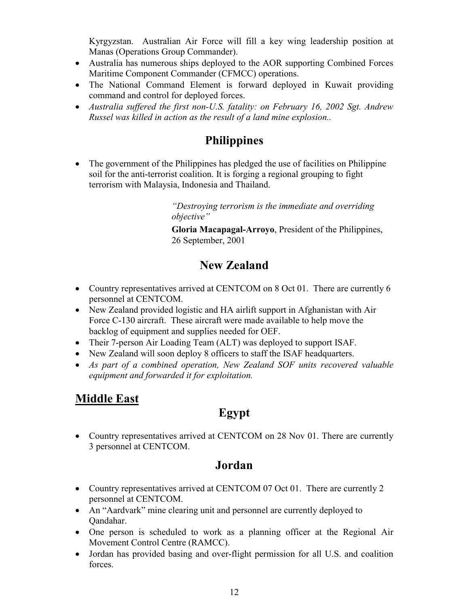Kyrgyzstan. Australian Air Force will fill a key wing leadership position at Manas (Operations Group Commander).

- Australia has numerous ships deployed to the AOR supporting Combined Forces Maritime Component Commander (CFMCC) operations.
- The National Command Element is forward deployed in Kuwait providing command and control for deployed forces.
- *Australia suffered the first non-U.S. fatality: on February 16, 2002 Sgt. Andrew Russel was killed in action as the result of a land mine explosion..*

## **Philippines**

• The government of the Philippines has pledged the use of facilities on Philippine soil for the anti-terrorist coalition. It is forging a regional grouping to fight terrorism with Malaysia, Indonesia and Thailand.

> *"Destroying terrorism is the immediate and overriding objective"*

**Gloria Macapagal-Arroyo**, President of the Philippines, 26 September, 2001

## **New Zealand**

- Country representatives arrived at CENTCOM on 8 Oct 01. There are currently 6 personnel at CENTCOM.
- New Zealand provided logistic and HA airlift support in Afghanistan with Air Force C-130 aircraft. These aircraft were made available to help move the backlog of equipment and supplies needed for OEF.
- Their 7-person Air Loading Team (ALT) was deployed to support ISAF.
- New Zealand will soon deploy 8 officers to staff the ISAF headquarters.
- *As part of a combined operation, New Zealand SOF units recovered valuable equipment and forwarded it for exploitation.*

## **Middle East**

## **Egypt**

• Country representatives arrived at CENTCOM on 28 Nov 01. There are currently 3 personnel at CENTCOM.

#### **Jordan**

- Country representatives arrived at CENTCOM 07 Oct 01. There are currently 2 personnel at CENTCOM.
- An "Aardvark" mine clearing unit and personnel are currently deployed to Qandahar.
- One person is scheduled to work as a planning officer at the Regional Air Movement Control Centre (RAMCC).
- Jordan has provided basing and over-flight permission for all U.S. and coalition forces.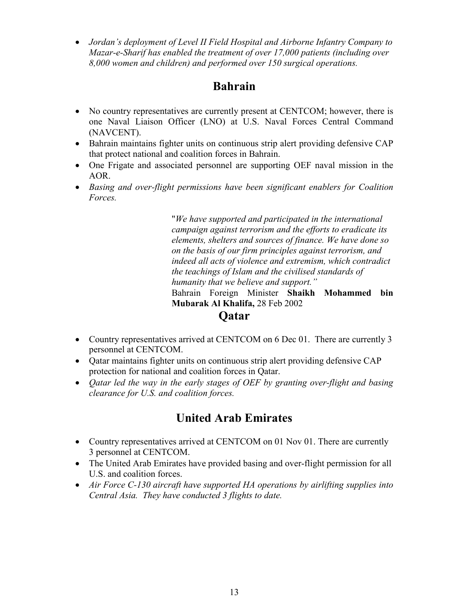*Jordan's deployment of Level II Field Hospital and Airborne Infantry Company to Mazar-e-Sharif has enabled the treatment of over 17,000 patients (including over 8,000 women and children) and performed over 150 surgical operations.*

#### **Bahrain**

- No country representatives are currently present at CENTCOM; however, there is one Naval Liaison Officer (LNO) at U.S. Naval Forces Central Command (NAVCENT).
- Bahrain maintains fighter units on continuous strip alert providing defensive CAP that protect national and coalition forces in Bahrain.
- One Frigate and associated personnel are supporting OEF naval mission in the AOR.
- *Basing and over-flight permissions have been significant enablers for Coalition Forces.*

"*We have supported and participated in the international campaign against terrorism and the efforts to eradicate its elements, shelters and sources of finance. We have done so on the basis of our firm principles against terrorism, and indeed all acts of violence and extremism, which contradict the teachings of Islam and the civilised standards of humanity that we believe and support."*

Bahrain Foreign Minister **Shaikh Mohammed bin Mubarak Al Khalifa,** 28 Feb 2002

#### **Qatar**

- Country representatives arrived at CENTCOM on 6 Dec 01. There are currently 3 personnel at CENTCOM.
- Qatar maintains fighter units on continuous strip alert providing defensive CAP protection for national and coalition forces in Qatar.
- *Qatar led the way in the early stages of OEF by granting over-flight and basing clearance for U.S. and coalition forces.*

## **United Arab Emirates**

- Country representatives arrived at CENTCOM on 01 Nov 01. There are currently 3 personnel at CENTCOM.
- The United Arab Emirates have provided basing and over-flight permission for all U.S. and coalition forces.
- *Air Force C-130 aircraft have supported HA operations by airlifting supplies into Central Asia. They have conducted 3 flights to date.*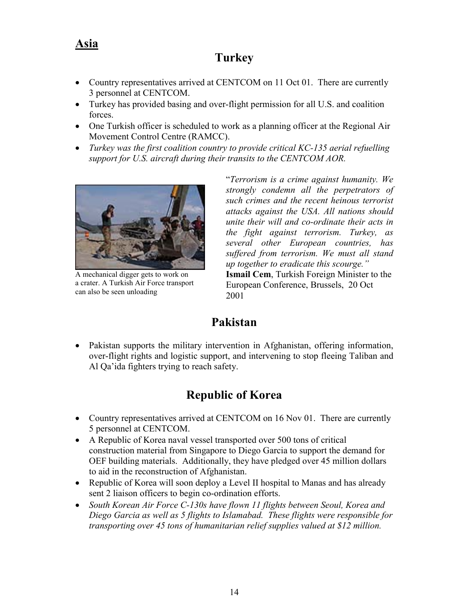#### **Asia**

#### **Turkey**

- Country representatives arrived at CENTCOM on 11 Oct 01. There are currently 3 personnel at CENTCOM.
- Turkey has provided basing and over-flight permission for all U.S. and coalition forces.
- One Turkish officer is scheduled to work as a planning officer at the Regional Air Movement Control Centre (RAMCC).
- *Turkey was the first coalition country to provide critical KC-135 aerial refuelling support for U.S. aircraft during their transits to the CENTCOM AOR.*



A mechanical digger gets to work on a crater. A Turkish Air Force transport can also be seen unloading

"*Terrorism is a crime against humanity. We strongly condemn all the perpetrators of such crimes and the recent heinous terrorist attacks against the USA. All nations should unite their will and co-ordinate their acts in the fight against terrorism. Turkey, as several other European countries, has suffered from terrorism. We must all stand up together to eradicate this scourge."* **Ismail Cem**, Turkish Foreign Minister to the European Conference, Brussels, 20 Oct 2001

#### **Pakistan**

 Pakistan supports the military intervention in Afghanistan, offering information, over-flight rights and logistic support, and intervening to stop fleeing Taliban and Al Qa'ida fighters trying to reach safety.

## **Republic of Korea**

- Country representatives arrived at CENTCOM on 16 Nov 01. There are currently 5 personnel at CENTCOM.
- A Republic of Korea naval vessel transported over 500 tons of critical construction material from Singapore to Diego Garcia to support the demand for OEF building materials. Additionally, they have pledged over 45 million dollars to aid in the reconstruction of Afghanistan.
- Republic of Korea will soon deploy a Level II hospital to Manas and has already sent 2 liaison officers to begin co-ordination efforts.
- *South Korean Air Force C-130s have flown 11 flights between Seoul, Korea and Diego Garcia as well as 5 flights to Islamabad. These flights were responsible for transporting over 45 tons of humanitarian relief supplies valued at \$12 million.*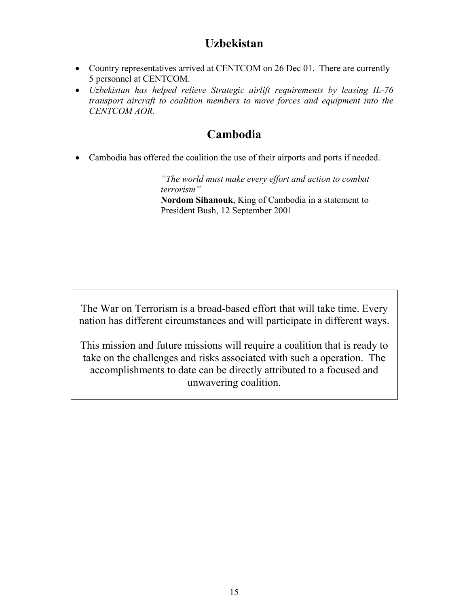#### **Uzbekistan**

- Country representatives arrived at CENTCOM on 26 Dec 01. There are currently 5 personnel at CENTCOM.
- *Uzbekistan has helped relieve Strategic airlift requirements by leasing IL-76 transport aircraft to coalition members to move forces and equipment into the CENTCOM AOR.*

#### **Cambodia**

Cambodia has offered the coalition the use of their airports and ports if needed.

*"The world must make every effort and action to combat terrorism"*

**Nordom Sihanouk**, King of Cambodia in a statement to President Bush, 12 September 2001

The War on Terrorism is a broad-based effort that will take time. Every nation has different circumstances and will participate in different ways.

This mission and future missions will require a coalition that is ready to take on the challenges and risks associated with such a operation. The accomplishments to date can be directly attributed to a focused and unwavering coalition.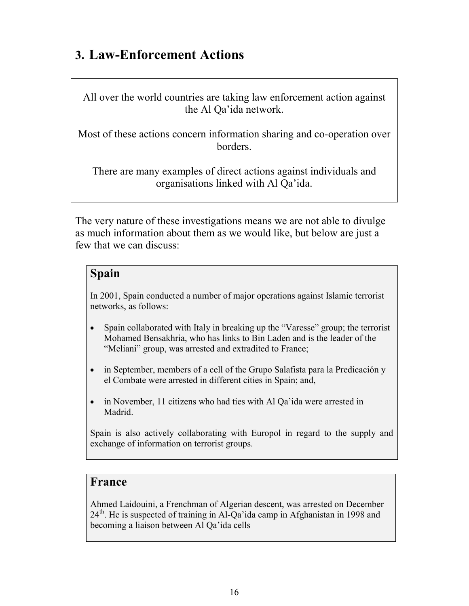# **3. Law-Enforcement Actions**

All over the world countries are taking law enforcement action against the Al Qa'ida network.

Most of these actions concern information sharing and co-operation over borders.

There are many examples of direct actions against individuals and organisations linked with Al Qa'ida.

The very nature of these investigations means we are not able to divulge as much information about them as we would like, but below are just a few that we can discuss:

#### **Spain**

In 2001, Spain conducted a number of major operations against Islamic terrorist networks, as follows:

- Spain collaborated with Italy in breaking up the "Varesse" group; the terrorist Mohamed Bensakhria, who has links to Bin Laden and is the leader of the "Meliani" group, was arrested and extradited to France;
- in September, members of a cell of the Grupo Salafista para la Predicación y el Combate were arrested in different cities in Spain; and,
- in November, 11 citizens who had ties with Al Qa'ida were arrested in Madrid.

Spain is also actively collaborating with Europol in regard to the supply and exchange of information on terrorist groups.

#### **France**

Ahmed Laidouini, a Frenchman of Algerian descent, was arrested on December  $24<sup>th</sup>$ . He is suspected of training in Al-Qa'ida camp in Afghanistan in 1998 and becoming a liaison between Al Qa'ida cells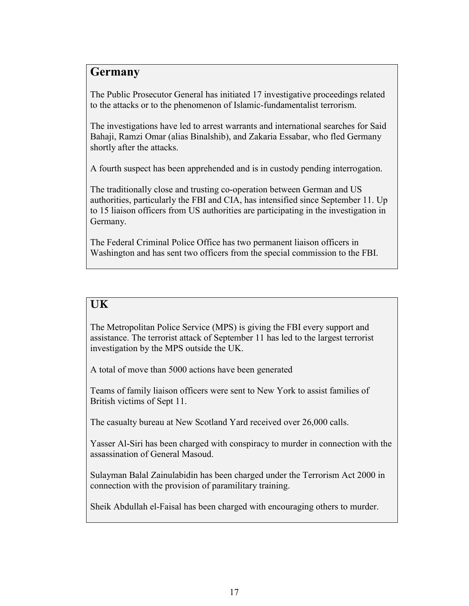#### **Germany**

The Public Prosecutor General has initiated 17 investigative proceedings related to the attacks or to the phenomenon of Islamic-fundamentalist terrorism.

The investigations have led to arrest warrants and international searches for Said Bahaji, Ramzi Omar (alias Binalshib), and Zakaria Essabar, who fled Germany shortly after the attacks.

A fourth suspect has been apprehended and is in custody pending interrogation.

The traditionally close and trusting co-operation between German and US authorities, particularly the FBI and CIA, has intensified since September 11. Up to 15 liaison officers from US authorities are participating in the investigation in Germany.

The Federal Criminal Police Office has two permanent liaison officers in Washington and has sent two officers from the special commission to the FBI.

#### **UK**

The Metropolitan Police Service (MPS) is giving the FBI every support and assistance. The terrorist attack of September 11 has led to the largest terrorist investigation by the MPS outside the UK.

A total of move than 5000 actions have been generated

Teams of family liaison officers were sent to New York to assist families of British victims of Sept 11.

The casualty bureau at New Scotland Yard received over 26,000 calls.

Yasser Al-Siri has been charged with conspiracy to murder in connection with the assassination of General Masoud.

Sulayman Balal Zainulabidin has been charged under the Terrorism Act 2000 in connection with the provision of paramilitary training.

Sheik Abdullah el-Faisal has been charged with encouraging others to murder.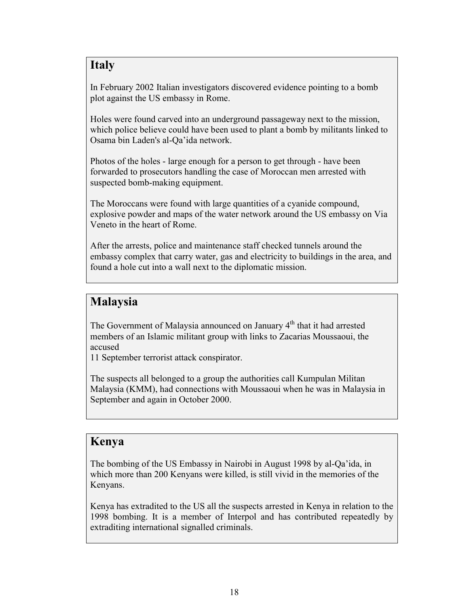#### **Italy**

In February 2002 Italian investigators discovered evidence pointing to a bomb plot against the US embassy in Rome.

Holes were found carved into an underground passageway next to the mission, which police believe could have been used to plant a bomb by militants linked to Osama bin Laden's al-Qa'ida network.

Photos of the holes - large enough for a person to get through - have been forwarded to prosecutors handling the case of Moroccan men arrested with suspected bomb-making equipment.

The Moroccans were found with large quantities of a cyanide compound, explosive powder and maps of the water network around the US embassy on Via Veneto in the heart of Rome.

After the arrests, police and maintenance staff checked tunnels around the embassy complex that carry water, gas and electricity to buildings in the area, and found a hole cut into a wall next to the diplomatic mission.

#### **Malaysia**

The Government of Malaysia announced on January 4<sup>th</sup> that it had arrested members of an Islamic militant group with links to Zacarias Moussaoui, the accused

11 September terrorist attack conspirator.

The suspects all belonged to a group the authorities call Kumpulan Militan Malaysia (KMM), had connections with Moussaoui when he was in Malaysia in September and again in October 2000.

#### **Kenya**

The bombing of the US Embassy in Nairobi in August 1998 by al-Qa'ida, in which more than 200 Kenyans were killed, is still vivid in the memories of the Kenyans.

Kenya has extradited to the US all the suspects arrested in Kenya in relation to the 1998 bombing. It is a member of Interpol and has contributed repeatedly by extraditing international signalled criminals.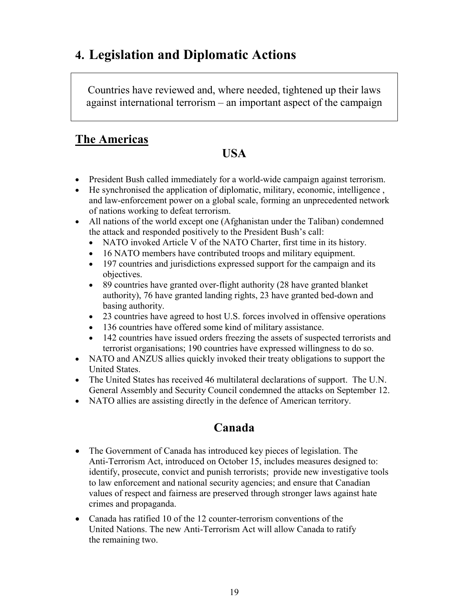# **4. Legislation and Diplomatic Actions**

Countries have reviewed and, where needed, tightened up their laws against international terrorism – an important aspect of the campaign

#### **The Americas**

#### **USA**

- President Bush called immediately for a world-wide campaign against terrorism.
- He synchronised the application of diplomatic, military, economic, intelligence , and law-enforcement power on a global scale, forming an unprecedented network of nations working to defeat terrorism.
- All nations of the world except one (Afghanistan under the Taliban) condemned the attack and responded positively to the President Bush's call:
	- NATO invoked Article V of the NATO Charter, first time in its history.
	- 16 NATO members have contributed troops and military equipment.
	- 197 countries and jurisdictions expressed support for the campaign and its objectives.
	- 89 countries have granted over-flight authority (28 have granted blanket authority), 76 have granted landing rights, 23 have granted bed-down and basing authority.
	- 23 countries have agreed to host U.S. forces involved in offensive operations
	- 136 countries have offered some kind of military assistance.
	- 142 countries have issued orders freezing the assets of suspected terrorists and terrorist organisations; 190 countries have expressed willingness to do so.
- NATO and ANZUS allies quickly invoked their treaty obligations to support the United States.
- The United States has received 46 multilateral declarations of support. The U.N. General Assembly and Security Council condemned the attacks on September 12.
- NATO allies are assisting directly in the defence of American territory.

## **Canada**

- The Government of Canada has introduced key pieces of legislation. The Anti-Terrorism Act, introduced on October 15, includes measures designed to: identify, prosecute, convict and punish terrorists; provide new investigative tools to law enforcement and national security agencies; and ensure that Canadian values of respect and fairness are preserved through stronger laws against hate crimes and propaganda.
- Canada has ratified 10 of the 12 counter-terrorism conventions of the United Nations. The new Anti-Terrorism Act will allow Canada to ratify the remaining two.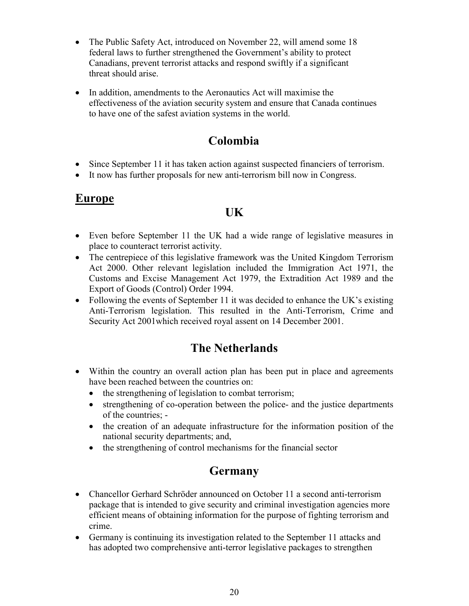- The Public Safety Act, introduced on November 22, will amend some 18 federal laws to further strengthened the Government's ability to protect Canadians, prevent terrorist attacks and respond swiftly if a significant threat should arise.
- In addition, amendments to the Aeronautics Act will maximise the effectiveness of the aviation security system and ensure that Canada continues to have one of the safest aviation systems in the world.

#### **Colombia**

- Since September 11 it has taken action against suspected financiers of terrorism.
- It now has further proposals for new anti-terrorism bill now in Congress.

#### **Europe**

#### **UK**

- Even before September 11 the UK had a wide range of legislative measures in place to counteract terrorist activity.
- The centrepiece of this legislative framework was the United Kingdom Terrorism Act 2000. Other relevant legislation included the Immigration Act 1971, the Customs and Excise Management Act 1979, the Extradition Act 1989 and the Export of Goods (Control) Order 1994.
- Following the events of September 11 it was decided to enhance the UK's existing Anti-Terrorism legislation. This resulted in the Anti-Terrorism, Crime and Security Act 2001which received royal assent on 14 December 2001.

## **The Netherlands**

- Within the country an overall action plan has been put in place and agreements have been reached between the countries on:
	- $\bullet$  the strengthening of legislation to combat terrorism;
	- strengthening of co-operation between the police- and the justice departments of the countries; -
	- the creation of an adequate infrastructure for the information position of the national security departments; and,
	- the strengthening of control mechanisms for the financial sector

#### **Germany**

- Chancellor Gerhard Schröder announced on October 11 a second anti-terrorism package that is intended to give security and criminal investigation agencies more efficient means of obtaining information for the purpose of fighting terrorism and crime.
- Germany is continuing its investigation related to the September 11 attacks and has adopted two comprehensive anti-terror legislative packages to strengthen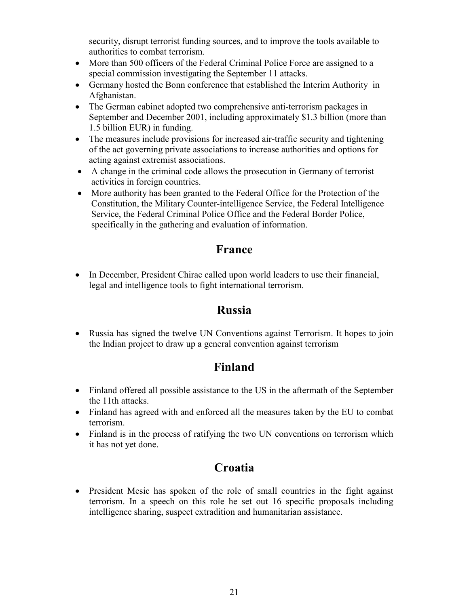security, disrupt terrorist funding sources, and to improve the tools available to authorities to combat terrorism.

- More than 500 officers of the Federal Criminal Police Force are assigned to a special commission investigating the September 11 attacks.
- Germany hosted the Bonn conference that established the Interim Authority in Afghanistan.
- The German cabinet adopted two comprehensive anti-terrorism packages in September and December 2001, including approximately \$1.3 billion (more than 1.5 billion EUR) in funding.
- The measures include provisions for increased air-traffic security and tightening of the act governing private associations to increase authorities and options for acting against extremist associations.
- A change in the criminal code allows the prosecution in Germany of terrorist activities in foreign countries.
- More authority has been granted to the Federal Office for the Protection of the Constitution, the Military Counter-intelligence Service, the Federal Intelligence Service, the Federal Criminal Police Office and the Federal Border Police, specifically in the gathering and evaluation of information.

#### **France**

• In December, President Chirac called upon world leaders to use their financial, legal and intelligence tools to fight international terrorism.

#### **Russia**

 Russia has signed the twelve UN Conventions against Terrorism. It hopes to join the Indian project to draw up a general convention against terrorism

## **Finland**

- Finland offered all possible assistance to the US in the aftermath of the September the 11th attacks.
- Finland has agreed with and enforced all the measures taken by the EU to combat terrorism.
- Finland is in the process of ratifying the two UN conventions on terrorism which it has not yet done.

## **Croatia**

• President Mesic has spoken of the role of small countries in the fight against terrorism. In a speech on this role he set out 16 specific proposals including intelligence sharing, suspect extradition and humanitarian assistance.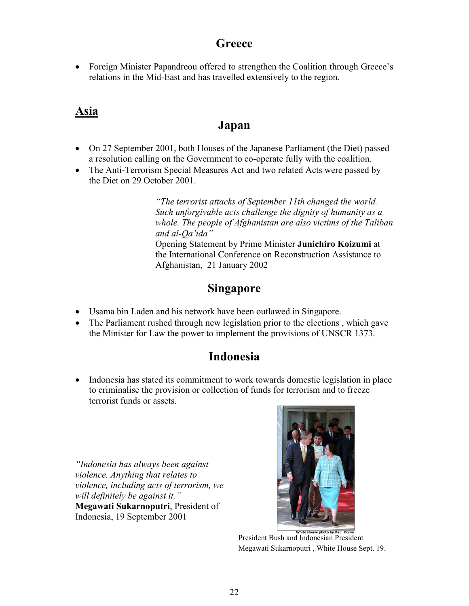#### **Greece**

• Foreign Minister Papandreou offered to strengthen the Coalition through Greece's relations in the Mid-East and has travelled extensively to the region.

#### **Asia**

#### **Japan**

- On 27 September 2001, both Houses of the Japanese Parliament (the Diet) passed a resolution calling on the Government to co-operate fully with the coalition.
- The Anti-Terrorism Special Measures Act and two related Acts were passed by the Diet on 29 October 2001.

*"The terrorist attacks of September 11th changed the world. Such unforgivable acts challenge the dignity of humanity as a whole. The people of Afghanistan are also victims of the Taliban and al-Qa'ida"* Opening Statement by Prime Minister **Junichiro Koizumi** at the International Conference on Reconstruction Assistance to Afghanistan, 21 January 2002

#### **Singapore**

- Usama bin Laden and his network have been outlawed in Singapore.
- The Parliament rushed through new legislation prior to the elections, which gave the Minister for Law the power to implement the provisions of UNSCR 1373.

#### **Indonesia**

• Indonesia has stated its commitment to work towards domestic legislation in place to criminalise the provision or collection of funds for terrorism and to freeze terrorist funds or assets.

*"Indonesia has always been against violence. Anything that relates to violence, including acts of terrorism, we will definitely be against it."* **Megawati Sukarnoputri**, President of Indonesia, 19 September 2001



President Bush and Indonesian President Megawati Sukarnoputri , White House Sept. 19.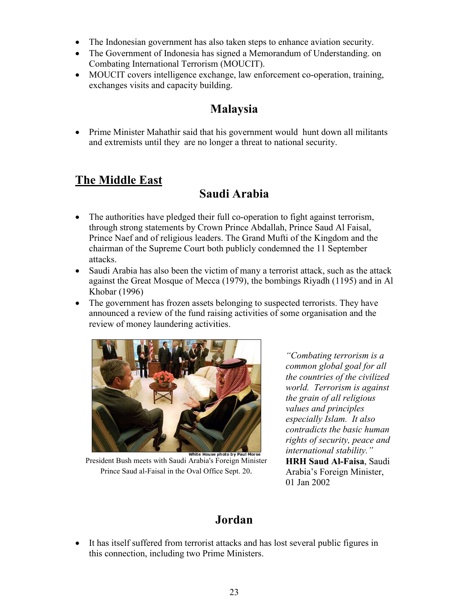- The Indonesian government has also taken steps to enhance aviation security.
- The Government of Indonesia has signed a Memorandum of Understanding. on Combating International Terrorism (MOUCIT).
- MOUCIT covers intelligence exchange, law enforcement co-operation, training, exchanges visits and capacity building.

## **Malaysia**

 Prime Minister Mahathir said that his government would hunt down all militants and extremists until they are no longer a threat to national security.

## **The Middle East**

## **Saudi Arabia**

- The authorities have pledged their full co-operation to fight against terrorism, through strong statements by Crown Prince Abdallah, Prince Saud Al Faisal, Prince Naef and of religious leaders. The Grand Mufti of the Kingdom and the chairman of the Supreme Court both publicly condemned the 11 September attacks.
- Saudi Arabia has also been the victim of many a terrorist attack, such as the attack against the Great Mosque of Mecca (1979), the bombings Riyadh (1195) and in Al Khobar (1996)
- The government has frozen assets belonging to suspected terrorists. They have announced a review of the fund raising activities of some organisation and the review of money laundering activities.



White House photo by Paul Morse<br>President Bush meets with Saudi Arabia's Foreign Minister Prince Saud al-Faisal in the Oval Office Sept. 20.

*"Combating terrorism is a common global goal for all the countries of the civilized world. Terrorism is against the grain of all religious values and principles especially Islam. It also contradicts the basic human rights of security, peace and international stability."* **HRH Saud Al-Faisa**, Saudi Arabia's Foreign Minister, 01 Jan 2002

## **Jordan**

 It has itself suffered from terrorist attacks and has lost several public figures in this connection, including two Prime Ministers.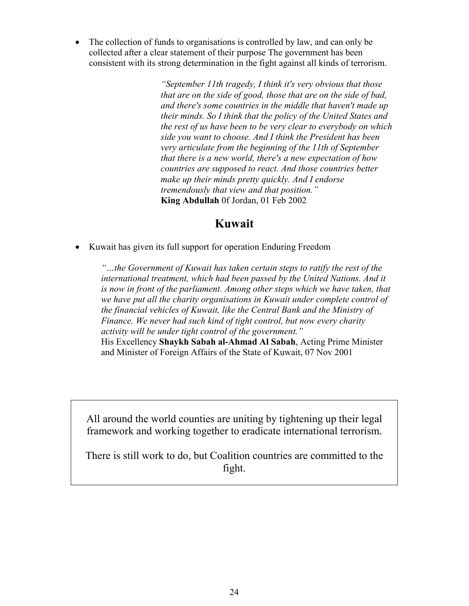The collection of funds to organisations is controlled by law, and can only be collected after a clear statement of their purpose The government has been consistent with its strong determination in the fight against all kinds of terrorism.

> *"September 11th tragedy, I think it's very obvious that those that are on the side of good, those that are on the side of bad, and there's some countries in the middle that haven't made up their minds. So I think that the policy of the United States and the rest of us have been to be very clear to everybody on which side you want to choose. And I think the President has been very articulate from the beginning of the 11th of September that there is a new world, there's a new expectation of how countries are supposed to react. And those countries better make up their minds pretty quickly. And I endorse tremendously that view and that position."* **King Abdullah** 0f Jordan, 01 Feb 2002

#### **Kuwait**

Kuwait has given its full support for operation Enduring Freedom

*"…the Government of Kuwait has taken certain steps to ratify the rest of the international treatment, which had been passed by the United Nations. And it is now in front of the parliament. Among other steps which we have taken, that we have put all the charity organisations in Kuwait under complete control of the financial vehicles of Kuwait, like the Central Bank and the Ministry of Finance. We never had such kind of tight control, but now every charity activity will be under tight control of the government."* His Excellency **Shaykh Sabah al-Ahmad Al Sabah**, Acting Prime Minister and Minister of Foreign Affairs of the State of Kuwait, 07 Nov 2001

All around the world counties are uniting by tightening up their legal framework and working together to eradicate international terrorism.

There is still work to do, but Coalition countries are committed to the fight.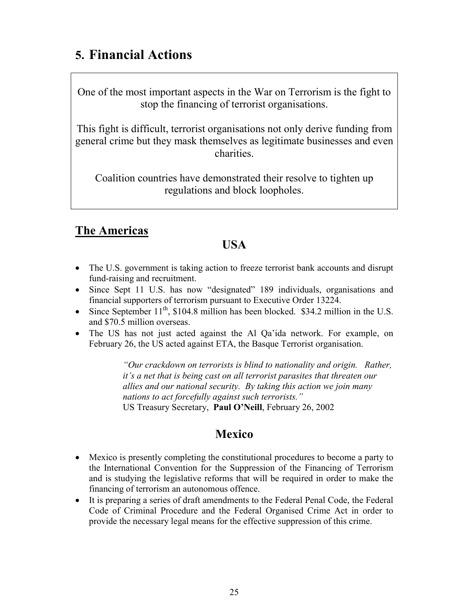# **5. Financial Actions**

One of the most important aspects in the War on Terrorism is the fight to stop the financing of terrorist organisations.

This fight is difficult, terrorist organisations not only derive funding from general crime but they mask themselves as legitimate businesses and even charities.

Coalition countries have demonstrated their resolve to tighten up regulations and block loopholes.

## **The Americas**

#### **USA**

- The U.S. government is taking action to freeze terrorist bank accounts and disrupt fund-raising and recruitment.
- Since Sept 11 U.S. has now "designated" 189 individuals, organisations and financial supporters of terrorism pursuant to Executive Order 13224.
- Since September  $11<sup>th</sup>$ , \$104.8 million has been blocked. \$34.2 million in the U.S. and \$70.5 million overseas.
- The US has not just acted against the Al Qa'ida network. For example, on February 26, the US acted against ETA, the Basque Terrorist organisation.

*"Our crackdown on terrorists is blind to nationality and origin. Rather, it's a net that is being cast on all terrorist parasites that threaten our allies and our national security. By taking this action we join many nations to act forcefully against such terrorists."* US Treasury Secretary, **Paul O'Neill**, February 26, 2002

#### **Mexico**

- Mexico is presently completing the constitutional procedures to become a party to the International Convention for the Suppression of the Financing of Terrorism and is studying the legislative reforms that will be required in order to make the financing of terrorism an autonomous offence.
- It is preparing a series of draft amendments to the Federal Penal Code, the Federal Code of Criminal Procedure and the Federal Organised Crime Act in order to provide the necessary legal means for the effective suppression of this crime.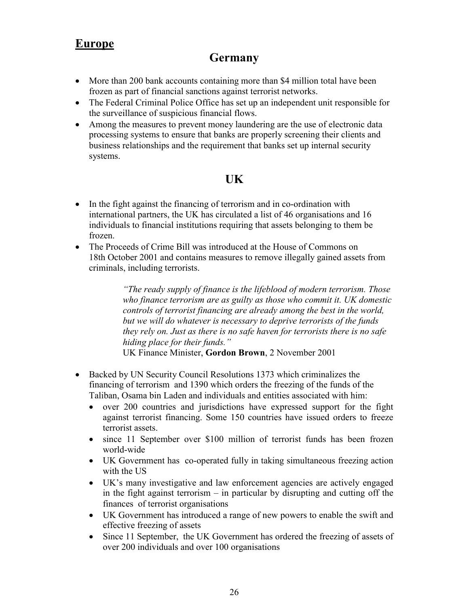#### **Europe**

#### **Germany**

- More than 200 bank accounts containing more than \$4 million total have been frozen as part of financial sanctions against terrorist networks.
- The Federal Criminal Police Office has set up an independent unit responsible for the surveillance of suspicious financial flows.
- Among the measures to prevent money laundering are the use of electronic data processing systems to ensure that banks are properly screening their clients and business relationships and the requirement that banks set up internal security systems.

#### **UK**

- In the fight against the financing of terrorism and in co-ordination with international partners, the UK has circulated a list of 46 organisations and 16 individuals to financial institutions requiring that assets belonging to them be frozen.
- The Proceeds of Crime Bill was introduced at the House of Commons on 18th October 2001 and contains measures to remove illegally gained assets from criminals, including terrorists.

*"The ready supply of finance is the lifeblood of modern terrorism. Those who finance terrorism are as guilty as those who commit it. UK domestic controls of terrorist financing are already among the best in the world, but we will do whatever is necessary to deprive terrorists of the funds they rely on. Just as there is no safe haven for terrorists there is no safe hiding place for their funds."*

UK Finance Minister, **Gordon Brown**, 2 November 2001

- Backed by UN Security Council Resolutions 1373 which criminalizes the financing of terrorism and 1390 which orders the freezing of the funds of the Taliban, Osama bin Laden and individuals and entities associated with him:
	- over 200 countries and jurisdictions have expressed support for the fight against terrorist financing. Some 150 countries have issued orders to freeze terrorist assets.
	- since 11 September over \$100 million of terrorist funds has been frozen world-wide
	- UK Government has co-operated fully in taking simultaneous freezing action with the US
	- UK's many investigative and law enforcement agencies are actively engaged in the fight against terrorism – in particular by disrupting and cutting off the finances of terrorist organisations
	- UK Government has introduced a range of new powers to enable the swift and effective freezing of assets
	- Since 11 September, the UK Government has ordered the freezing of assets of over 200 individuals and over 100 organisations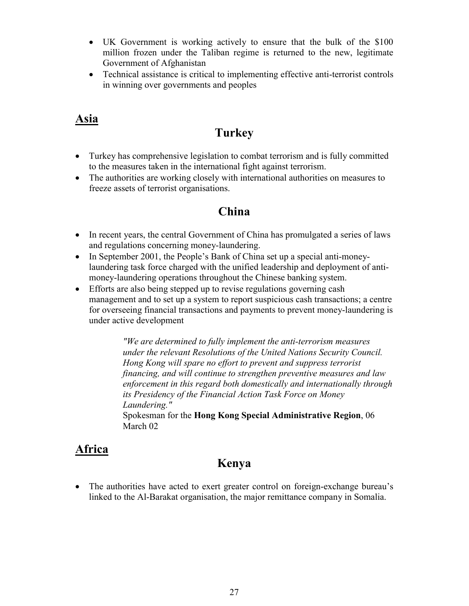- UK Government is working actively to ensure that the bulk of the \$100 million frozen under the Taliban regime is returned to the new, legitimate Government of Afghanistan
- Technical assistance is critical to implementing effective anti-terrorist controls in winning over governments and peoples

#### **Asia**

#### **Turkey**

- Turkey has comprehensive legislation to combat terrorism and is fully committed to the measures taken in the international fight against terrorism.
- The authorities are working closely with international authorities on measures to freeze assets of terrorist organisations.

#### **China**

- In recent years, the central Government of China has promulgated a series of laws and regulations concerning money-laundering.
- In September 2001, the People's Bank of China set up a special anti-moneylaundering task force charged with the unified leadership and deployment of antimoney-laundering operations throughout the Chinese banking system.
- Efforts are also being stepped up to revise regulations governing cash management and to set up a system to report suspicious cash transactions; a centre for overseeing financial transactions and payments to prevent money-laundering is under active development

*"We are determined to fully implement the anti-terrorism measures under the relevant Resolutions of the United Nations Security Council. Hong Kong will spare no effort to prevent and suppress terrorist financing, and will continue to strengthen preventive measures and law enforcement in this regard both domestically and internationally through its Presidency of the Financial Action Task Force on Money Laundering."*

Spokesman for the **Hong Kong Special Administrative Region**, 06 March 02

#### **Africa**

#### **Kenya**

 The authorities have acted to exert greater control on foreign-exchange bureau's linked to the Al-Barakat organisation, the major remittance company in Somalia.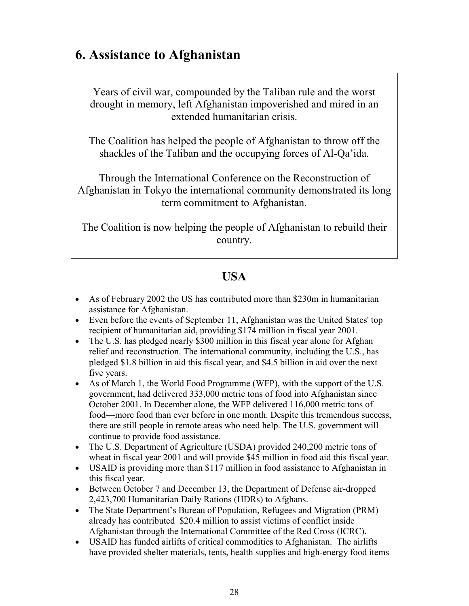# **6. Assistance to Afghanistan**

Years of civil war, compounded by the Taliban rule and the worst drought in memory, left Afghanistan impoverished and mired in an extended humanitarian crisis.

The Coalition has helped the people of Afghanistan to throw off the shackles of the Taliban and the occupying forces of Al-Qa'ida.

Through the International Conference on the Reconstruction of Afghanistan in Tokyo the international community demonstrated its long term commitment to Afghanistan.

The Coalition is now helping the people of Afghanistan to rebuild their country.

## **USA**

- As of February 2002 the US has contributed more than \$230m in humanitarian assistance for Afghanistan.
- Even before the events of September 11, Afghanistan was the United States' top recipient of humanitarian aid, providing \$174 million in fiscal year 2001.
- The U.S. has pledged nearly \$300 million in this fiscal year alone for Afghan relief and reconstruction. The international community, including the U.S., has pledged \$1.8 billion in aid this fiscal year, and \$4.5 billion in aid over the next five years.
- As of March 1, the World Food Programme (WFP), with the support of the U.S. government, had delivered 333,000 metric tons of food into Afghanistan since October 2001. In December alone, the WFP delivered 116,000 metric tons of food—more food than ever before in one month. Despite this tremendous success, there are still people in remote areas who need help. The U.S. government will continue to provide food assistance.
- The U.S. Department of Agriculture (USDA) provided 240,200 metric tons of wheat in fiscal year 2001 and will provide \$45 million in food aid this fiscal year.
- USAID is providing more than \$117 million in food assistance to Afghanistan in this fiscal year.
- Between October 7 and December 13, the Department of Defense air-dropped 2,423,700 Humanitarian Daily Rations (HDRs) to Afghans.
- The State Department's Bureau of Population, Refugees and Migration (PRM) already has contributed \$20.4 million to assist victims of conflict inside Afghanistan through the International Committee of the Red Cross (ICRC).
- USAID has funded airlifts of critical commodities to Afghanistan. The airlifts have provided shelter materials, tents, health supplies and high-energy food items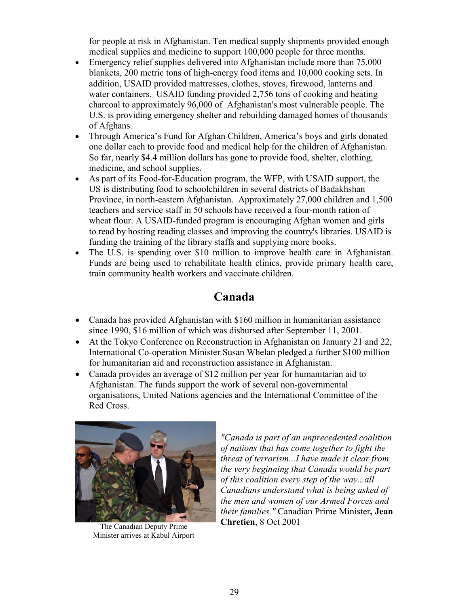for people at risk in Afghanistan. Ten medical supply shipments provided enough medical supplies and medicine to support 100,000 people for three months.

- Emergency relief supplies delivered into Afghanistan include more than 75,000 blankets, 200 metric tons of high-energy food items and 10,000 cooking sets. In addition, USAID provided mattresses, clothes, stoves, firewood, lanterns and water containers. USAID funding provided 2,756 tons of cooking and heating charcoal to approximately 96,000 of Afghanistan's most vulnerable people. The U.S. is providing emergency shelter and rebuilding damaged homes of thousands of Afghans.
- Through America's Fund for Afghan Children, America's boys and girls donated one dollar each to provide food and medical help for the children of Afghanistan. So far, nearly \$4.4 million dollars has gone to provide food, shelter, clothing, medicine, and school supplies.
- As part of its Food-for-Education program, the WFP, with USAID support, the US is distributing food to schoolchildren in several districts of Badakhshan Province, in north-eastern Afghanistan. Approximately 27,000 children and 1,500 teachers and service staff in 50 schools have received a four-month ration of wheat flour. A USAID-funded program is encouraging Afghan women and girls to read by hosting reading classes and improving the country's libraries. USAID is funding the training of the library staffs and supplying more books.
- The U.S. is spending over \$10 million to improve health care in Afghanistan. Funds are being used to rehabilitate health clinics, provide primary health care, train community health workers and vaccinate children.

#### **Canada**

- Canada has provided Afghanistan with \$160 million in humanitarian assistance since 1990, \$16 million of which was disbursed after September 11, 2001.
- At the Tokyo Conference on Reconstruction in Afghanistan on January 21 and 22, International Co-operation Minister Susan Whelan pledged a further \$100 million for humanitarian aid and reconstruction assistance in Afghanistan.
- Canada provides an average of \$12 million per year for humanitarian aid to Afghanistan. The funds support the work of several non-governmental organisations, United Nations agencies and the International Committee of the Red Cross.



The Canadian Deputy Prime Minister arrives at Kabul Airport

*"Canada is part of an unprecedented coalition of nations that has come together to fight the threat of terrorism...I have made it clear from the very beginning that Canada would be part of this coalition every step of the way...all Canadians understand what is being asked of the men and women of our Armed Forces and their families."* Canadian Prime Minister**, Jean Chretien**, 8 Oct 2001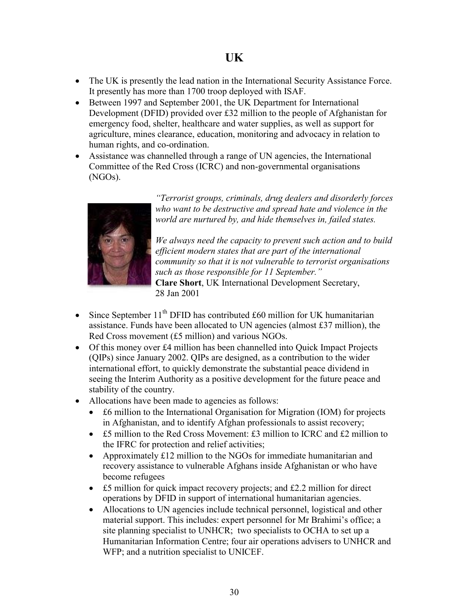- The UK is presently the lead nation in the International Security Assistance Force. It presently has more than 1700 troop deployed with ISAF.
- Between 1997 and September 2001, the UK Department for International Development (DFID) provided over £32 million to the people of Afghanistan for emergency food, shelter, healthcare and water supplies, as well as support for agriculture, mines clearance, education, monitoring and advocacy in relation to human rights, and co-ordination.
- Assistance was channelled through a range of UN agencies, the International Committee of the Red Cross (ICRC) and non-governmental organisations (NGOs).



*"Terrorist groups, criminals, drug dealers and disorderly forces who want to be destructive and spread hate and violence in the world are nurtured by, and hide themselves in, failed states.*

*We always need the capacity to prevent such action and to build efficient modern states that are part of the international community so that it is not vulnerable to terrorist organisations such as those responsible for 11 September."* **Clare Short**, UK International Development Secretary,

28 Jan 2001

- Since September  $11<sup>th</sup>$  DFID has contributed £60 million for UK humanitarian assistance. Funds have been allocated to UN agencies (almost £37 million), the Red Cross movement (£5 million) and various NGOs.
- Of this money over £4 million has been channelled into Quick Impact Projects (QIPs) since January 2002. QIPs are designed, as a contribution to the wider international effort, to quickly demonstrate the substantial peace dividend in seeing the Interim Authority as a positive development for the future peace and stability of the country.
- Allocations have been made to agencies as follows:
	- £6 million to the International Organisation for Migration (IOM) for projects in Afghanistan, and to identify Afghan professionals to assist recovery;
	- £5 million to the Red Cross Movement: £3 million to ICRC and £2 million to the IFRC for protection and relief activities;
	- Approximately £12 million to the NGOs for immediate humanitarian and recovery assistance to vulnerable Afghans inside Afghanistan or who have become refugees
	- £5 million for quick impact recovery projects; and £2.2 million for direct operations by DFID in support of international humanitarian agencies.
	- Allocations to UN agencies include technical personnel, logistical and other material support. This includes: expert personnel for Mr Brahimi's office; a site planning specialist to UNHCR; two specialists to OCHA to set up a Humanitarian Information Centre; four air operations advisers to UNHCR and WFP; and a nutrition specialist to UNICEF.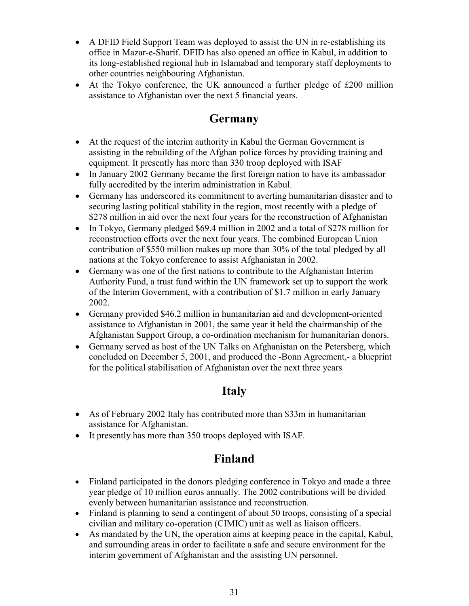- A DFID Field Support Team was deployed to assist the UN in re-establishing its office in Mazar-e-Sharif. DFID has also opened an office in Kabul, in addition to its long-established regional hub in Islamabad and temporary staff deployments to other countries neighbouring Afghanistan.
- At the Tokyo conference, the UK announced a further pledge of £200 million assistance to Afghanistan over the next 5 financial years.

#### **Germany**

- At the request of the interim authority in Kabul the German Government is assisting in the rebuilding of the Afghan police forces by providing training and equipment. It presently has more than 330 troop deployed with ISAF
- In January 2002 Germany became the first foreign nation to have its ambassador fully accredited by the interim administration in Kabul.
- Germany has underscored its commitment to averting humanitarian disaster and to securing lasting political stability in the region, most recently with a pledge of \$278 million in aid over the next four years for the reconstruction of Afghanistan
- In Tokyo, Germany pledged \$69.4 million in 2002 and a total of \$278 million for reconstruction efforts over the next four years. The combined European Union contribution of \$550 million makes up more than 30% of the total pledged by all nations at the Tokyo conference to assist Afghanistan in 2002.
- Germany was one of the first nations to contribute to the Afghanistan Interim Authority Fund, a trust fund within the UN framework set up to support the work of the Interim Government, with a contribution of \$1.7 million in early January 2002.
- Germany provided \$46.2 million in humanitarian aid and development-oriented assistance to Afghanistan in 2001, the same year it held the chairmanship of the Afghanistan Support Group, a co-ordination mechanism for humanitarian donors.
- Germany served as host of the UN Talks on Afghanistan on the Petersberg, which concluded on December 5, 2001, and produced the -Bonn Agreement,- a blueprint for the political stabilisation of Afghanistan over the next three years

#### **Italy**

- As of February 2002 Italy has contributed more than \$33m in humanitarian assistance for Afghanistan.
- It presently has more than 350 troops deployed with ISAF.

#### **Finland**

- Finland participated in the donors pledging conference in Tokyo and made a three year pledge of 10 million euros annually. The 2002 contributions will be divided evenly between humanitarian assistance and reconstruction.
- Finland is planning to send a contingent of about 50 troops, consisting of a special civilian and military co-operation (CIMIC) unit as well as liaison officers.
- As mandated by the UN, the operation aims at keeping peace in the capital, Kabul, and surrounding areas in order to facilitate a safe and secure environment for the interim government of Afghanistan and the assisting UN personnel.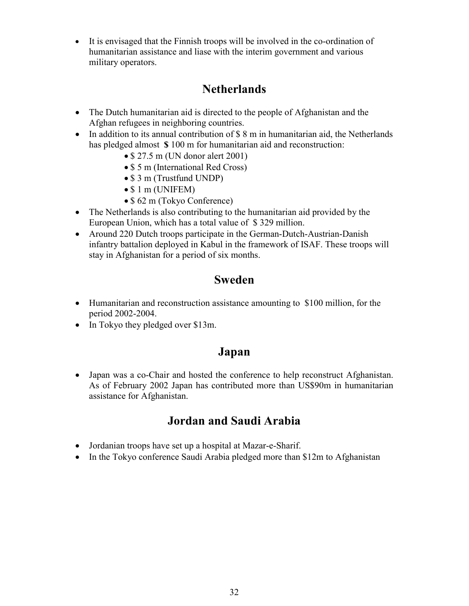It is envisaged that the Finnish troops will be involved in the co-ordination of humanitarian assistance and liase with the interim government and various military operators.

#### **Netherlands**

- The Dutch humanitarian aid is directed to the people of Afghanistan and the Afghan refugees in neighboring countries.
- In addition to its annual contribution of \$8 m in humanitarian aid, the Netherlands has pledged almost **\$** 100 m for humanitarian aid and reconstruction:
	- $\bullet$  \$ 27.5 m (UN donor alert 2001)
	- \$ 5 m (International Red Cross)
	- \$ 3 m (Trustfund UNDP)
	- $\bullet$  \$ 1 m (UNIFEM)
	- \$ 62 m (Tokyo Conference)
- The Netherlands is also contributing to the humanitarian aid provided by the European Union, which has a total value of \$ 329 million.
- Around 220 Dutch troops participate in the German-Dutch-Austrian-Danish infantry battalion deployed in Kabul in the framework of ISAF. These troops will stay in Afghanistan for a period of six months.

#### **Sweden**

- Humanitarian and reconstruction assistance amounting to \$100 million, for the period 2002-2004.
- In Tokyo they pledged over \$13m.

#### **Japan**

 Japan was a co-Chair and hosted the conference to help reconstruct Afghanistan. As of February 2002 Japan has contributed more than US\$90m in humanitarian assistance for Afghanistan.

#### **Jordan and Saudi Arabia**

- Jordanian troops have set up a hospital at Mazar-e-Sharif.
- In the Tokyo conference Saudi Arabia pledged more than \$12m to Afghanistan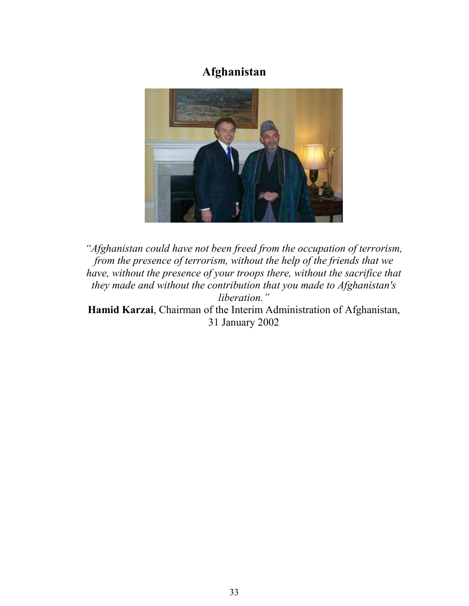## **Afghanistan**



*"Afghanistan could have not been freed from the occupation of terrorism, from the presence of terrorism, without the help of the friends that we have, without the presence of your troops there, without the sacrifice that they made and without the contribution that you made to Afghanistan's liberation."* **Hamid Karzai**, Chairman of the Interim Administration of Afghanistan, 31 January 2002